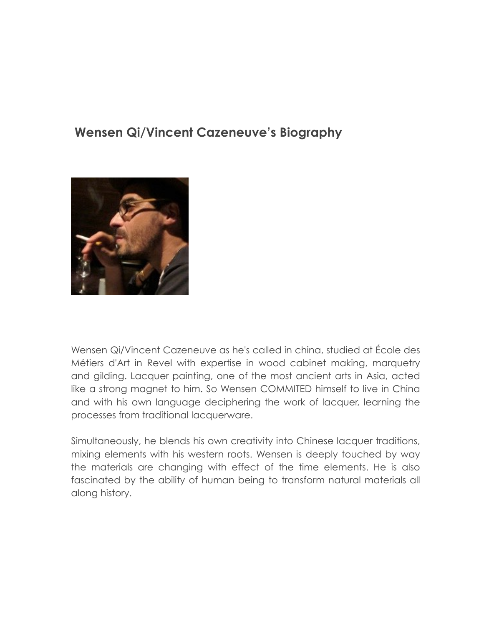## **Wensen Qi/Vincent Cazeneuve's Biography**



Wensen Qi/Vincent Cazeneuve as he's called in china, studied at École des Métiers d'Art in Revel with expertise in wood cabinet making, marquetry and gilding. Lacquer painting, one of the most ancient arts in Asia, acted like a strong magnet to him. So Wensen COMMITED himself to live in China and with his own language deciphering the work of lacquer, learning the processes from traditional lacquerware.

Simultaneously, he blends his own creativity into Chinese lacquer traditions, mixing elements with his western roots. Wensen is deeply touched by way the materials are changing with effect of the time elements. He is also fascinated by the ability of human being to transform natural materials all along history.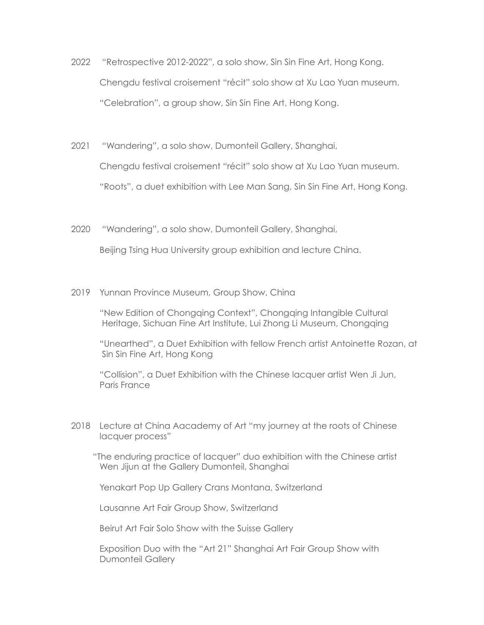- 2022 "Retrospective 2012-2022", a solo show, Sin Sin Fine Art, Hong Kong. Chengdu festival croisement "récit" solo show at Xu Lao Yuan museum. "Celebration", a group show, Sin Sin Fine Art, Hong Kong.
- 2021 "Wandering", a solo show, Dumonteil Gallery, Shanghai,

Chengdu festival croisement "récit" solo show at Xu Lao Yuan museum.

"Roots", a duet exhibition with Lee Man Sang, Sin Sin Fine Art, Hong Kong.

2020 "Wandering", a solo show, Dumonteil Gallery, Shanghai,

Beijing Tsing Hua University group exhibition and lecture China.

2019 Yunnan Province Museum, Group Show, China

"New Edition of Chongqing Context", Chongqing Intangible Cultural Heritage, Sichuan Fine Art Institute, Lui Zhong Li Museum, Chongqing

"Unearthed", a Duet Exhibition with fellow French artist Antoinette Rozan, at Sin Sin Fine Art, Hong Kong

"Collision", a Duet Exhibition with the Chinese lacquer artist Wen Ji Jun, Paris France

2018 Lecture at China Aacademy of Art "my journey at the roots of Chinese lacquer process"

 "The enduring practice of lacquer" duo exhibition with the Chinese artist Wen Jijun at the Gallery Dumonteil, Shanghai

Yenakart Pop Up Gallery Crans Montana, Switzerland

Lausanne Art Fair Group Show, Switzerland

Beirut Art Fair Solo Show with the Suisse Gallery

 Exposition Duo with the "Art 21" Shanghai Art Fair Group Show with Dumonteil Gallery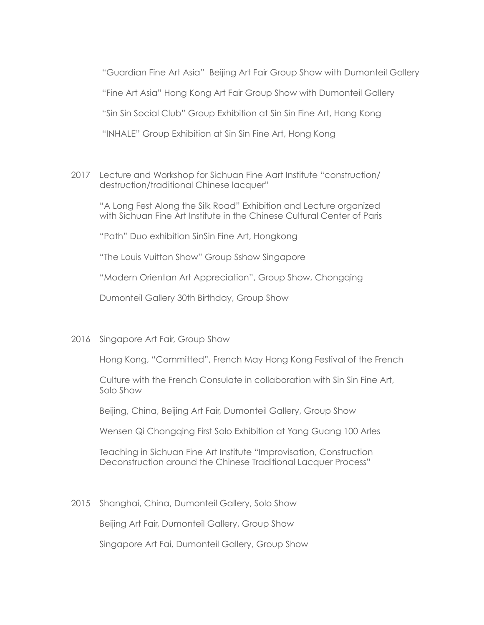"Guardian Fine Art Asia" Beijing Art Fair Group Show with Dumonteil Gallery "Fine Art Asia" Hong Kong Art Fair Group Show with Dumonteil Gallery "Sin Sin Social Club" Group Exhibition at Sin Sin Fine Art, Hong Kong "INHALE" Group Exhibition at Sin Sin Fine Art, Hong Kong

2017 Lecture and Workshop for Sichuan Fine Aart Institute "construction/ destruction/traditional Chinese lacquer"

"A Long Fest Along the Silk Road" Exhibition and Lecture organized with Sichuan Fine Art Institute in the Chinese Cultural Center of Paris

"Path" Duo exhibition SinSin Fine Art, Hongkong

"The Louis Vuitton Show" Group Sshow Singapore

"Modern Orientan Art Appreciation", Group Show, Chongqing

Dumonteil Gallery 30th Birthday, Group Show

2016 Singapore Art Fair, Group Show

Hong Kong, "Committed", French May Hong Kong Festival of the French

Culture with the French Consulate in collaboration with Sin Sin Fine Art, Solo Show

Beijing, China, Beijing Art Fair, Dumonteil Gallery, Group Show

Wensen Qi Chongqing First Solo Exhibition at Yang Guang 100 Arles

Teaching in Sichuan Fine Art Institute "Improvisation, Construction Deconstruction around the Chinese Traditional Lacquer Process"

2015 Shanghai, China, Dumonteil Gallery, Solo Show

Beijing Art Fair, Dumonteil Gallery, Group Show

Singapore Art Fai, Dumonteil Gallery, Group Show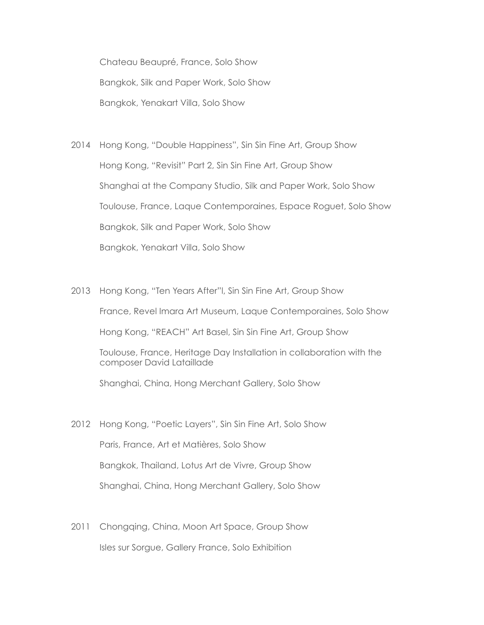Chateau Beaupré, France, Solo Show Bangkok, Silk and Paper Work, Solo Show Bangkok, Yenakart Villa, Solo Show

2014 Hong Kong, "Double Happiness", Sin Sin Fine Art, Group Show Hong Kong, "Revisit" Part 2, Sin Sin Fine Art, Group Show Shanghai at the Company Studio, Silk and Paper Work, Solo Show Toulouse, France, Laque Contemporaines, Espace Roguet, Solo Show Bangkok, Silk and Paper Work, Solo Show Bangkok, Yenakart Villa, Solo Show

- 2013 Hong Kong, "Ten Years After"l, Sin Sin Fine Art, Group Show France, Revel Imara Art Museum, Laque Contemporaines, Solo Show Hong Kong, "REACH" Art Basel, Sin Sin Fine Art, Group Show Toulouse, France, Heritage Day Installation in collaboration with the composer David Lataillade Shanghai, China, Hong Merchant Gallery, Solo Show
- 2012 Hong Kong, "Poetic Layers", Sin Sin Fine Art, Solo Show Paris, France, Art et Matières, Solo Show Bangkok, Thailand, Lotus Art de Vivre, Group Show Shanghai, China, Hong Merchant Gallery, Solo Show
- 2011 Chongging, Ching, Moon Art Space, Group Show Isles sur Sorgue, Gallery France, Solo Exhibition